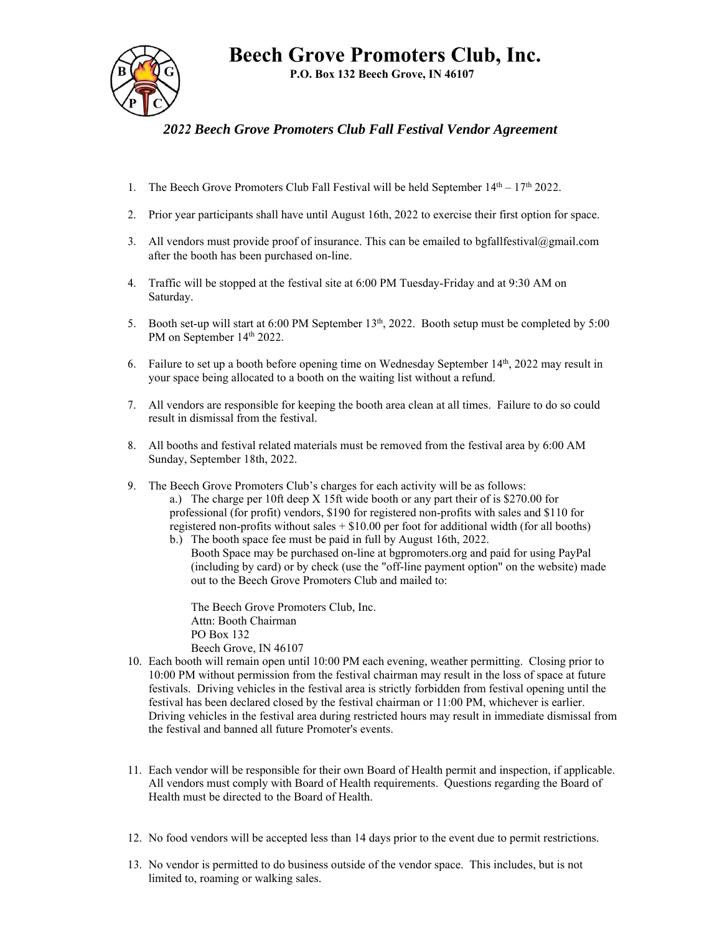**Beech Grove Promoters Club, Inc.** 

**P.O. Box 132 Beech Grove, IN 46107** 



## *2022 Beech Grove Promoters Club Fall Festival Vendor Agreement*

- 1. The Beech Grove Promoters Club Fall Festival will be held September  $14<sup>th</sup> 17<sup>th</sup> 2022$ .
- 2. Prior year participants shall have until August 16th, 2022 to exercise their first option for space.
- 3. All vendors must provide proof of insurance. This can be emailed to bgfallfestival@gmail.com after the booth has been purchased on-line.
- 4. Traffic will be stopped at the festival site at 6:00 PM Tuesday-Friday and at 9:30 AM on Saturday.
- 5. Booth set-up will start at 6:00 PM September 13<sup>th</sup>, 2022. Booth setup must be completed by 5:00 PM on September 14<sup>th</sup> 2022.
- 6. Failure to set up a booth before opening time on Wednesday September 14<sup>th</sup>, 2022 may result in your space being allocated to a booth on the waiting list without a refund.
- 7. All vendors are responsible for keeping the booth area clean at all times. Failure to do so could result in dismissal from the festival.
- 8. All booths and festival related materials must be removed from the festival area by 6:00 AM Sunday, September 18th, 2022.
- 9. The Beech Grove Promoters Club's charges for each activity will be as follows: a.) The charge per 10ft deep X 15ft wide booth or any part their of is \$270.00 for professional (for profit) vendors, \$190 for registered non-profits with sales and \$110 for registered non-profits without sales  $+ $10.00$  per foot for additional width (for all booths) b.) The booth space fee must be paid in full by August 16th, 2022.
	- Booth Space may be purchased on-line at bgpromoters.org and paid for using PayPal (including by card) or by check (use the "off-line payment option" on the website) made out to the Beech Grove Promoters Club and mailed to:

The Beech Grove Promoters Club, Inc. Attn: Booth Chairman PO Box 132 Beech Grove, IN 46107

- 10. Each booth will remain open until 10:00 PM each evening, weather permitting. Closing prior to 10:00 PM without permission from the festival chairman may result in the loss of space at future festivals. Driving vehicles in the festival area is strictly forbidden from festival opening until the festival has been declared closed by the festival chairman or 11:00 PM, whichever is earlier. Driving vehicles in the festival area during restricted hours may result in immediate dismissal from the festival and banned all future Promoter's events.
- 11. Each vendor will be responsible for their own Board of Health permit and inspection, if applicable. All vendors must comply with Board of Health requirements. Questions regarding the Board of Health must be directed to the Board of Health.
- 12. No food vendors will be accepted less than 14 days prior to the event due to permit restrictions.
- 13. No vendor is permitted to do business outside of the vendor space. This includes, but is not limited to, roaming or walking sales.